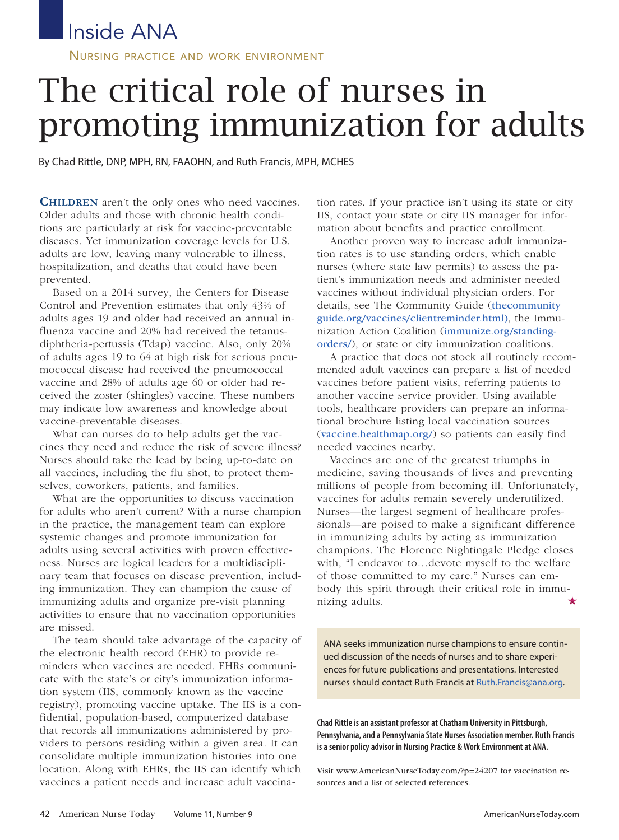## Inside ANA

NURSING PRACTICE AND WORK ENVIRONMENT

# The critical role of nurses in promoting immunization for adults

By Chad Rittle, DNP, MPH, RN, FAAOHN, and Ruth Francis, MPH, MCHES

**CHILDREN** aren't the only ones who need vaccines. Older adults and those with chronic health conditions are particularly at risk for vaccine-preventable diseases. Yet immunization coverage levels for U.S. adults are low, leaving many vulnerable to illness, hospitalization, and deaths that could have been prevented.

Based on a 2014 survey, the Centers for Disease Control and Prevention estimates that only 43% of adults ages 19 and older had received an annual influenza vaccine and 20% had received the tetanusdiphtheria-pertussis (Tdap) vaccine. Also, only 20% of adults ages 19 to 64 at high risk for serious pneumococcal disease had received the pneumococcal vaccine and 28% of adults age 60 or older had received the zoster (shingles) vaccine. These numbers may indicate low awareness and knowledge about vaccine-preventable diseases.

What can nurses do to help adults get the vaccines they need and reduce the risk of severe illness? Nurses should take the lead by being up-to-date on all vaccines, including the flu shot, to protect themselves, coworkers, patients, and families.

What are the opportunities to discuss vaccination for adults who aren't current? With a nurse champion in the practice, the management team can explore systemic changes and promote immunization for adults using several activities with proven effectiveness. Nurses are logical leaders for a multidisciplinary team that focuses on disease prevention, including immunization. They can champion the cause of immunizing adults and organize pre-visit planning activities to ensure that no vaccination opportunities are missed.

The team should take advantage of the capacity of the electronic health record (EHR) to provide reminders when vaccines are needed. EHRs communicate with the state's or city's immunization information system (IIS, commonly known as the vaccine registry), promoting vaccine uptake. The IIS is a confidential, population-based, computerized database that records all immunizations administered by providers to persons residing within a given area. It can consolidate multiple immunization histories into one location. Along with EHRs, the IIS can identify which vaccines a patient needs and increase adult vaccination rates. If your practice isn't using its state or city IIS, contact your state or city IIS manager for information about benefits and practice enrollment.

Another proven way to increase adult immunization rates is to use standing orders, which enable nurses (where state law permits) to assess the patient's immunization needs and administer needed vaccines without individual physician orders. For details, see The Community Guide (thecommunity guide.org/vaccines/clientreminder.html), the Immunization Action Coalition (immunize.org/standingorders/), or state or city immunization coalitions.

A practice that does not stock all routinely recommended adult vaccines can prepare a list of needed vaccines before patient visits, referring patients to another vaccine service provider. Using available tools, healthcare providers can prepare an informational brochure listing local vaccination sources (vaccine.healthmap.org/) so patients can easily find needed vaccines nearby.

Vaccines are one of the greatest triumphs in medicine, saving thousands of lives and preventing millions of people from becoming ill. Unfortunately, vaccines for adults remain severely underutilized. Nurses—the largest segment of healthcare professionals—are poised to make a significant difference in immunizing adults by acting as immunization champions. The Florence Nightingale Pledge closes with, "I endeavor to…devote myself to the welfare of those committed to my care." Nurses can embody this spirit through their critical role in immunizing adults. ★

ANA seeks immunization nurse champions to ensure continued discussion of the needs of nurses and to share experiences for future publications and presentations. Interested nurses should contact Ruth Francis at Ruth.Francis@ana.org.

**Chad Rittleisan assistant professoratChatham Universityin Pittsburgh, Pennsylvania,and a PennsylvaniaState Nurses Association member. Ruth Francis isasenior policyadvisor in Nursing Practice &WorkEnvironmentat ANA.**

Visit www.AmericanNurseToday.com/?p=24207 for vaccination resources and a list of selected references.